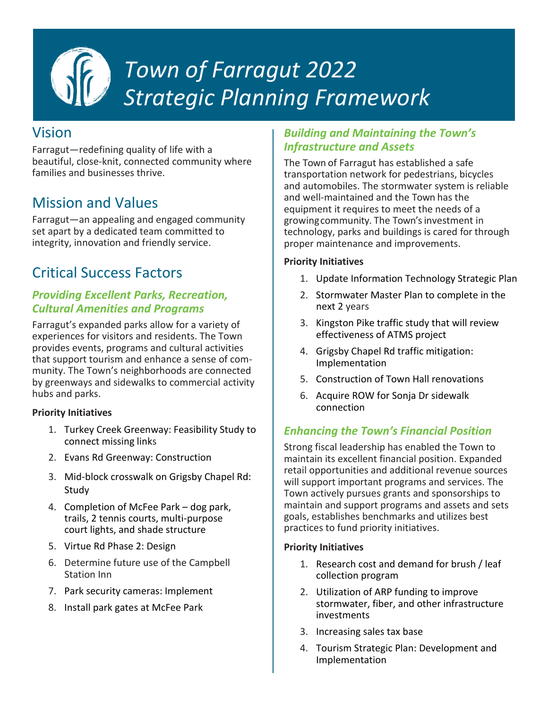

# *Town of Farragut 2022 Strategic Planning Framework*

# Vision

Farragut—redefining quality of life with a beautiful, close-knit, connected community where families and businesses thrive.

# Mission and Values

Farragut—an appealing and engaged community set apart by a dedicated team committed to integrity, innovation and friendly service.

# Critical Success Factors

# *Providing Excellent Parks, Recreation, Cultural Amenities and Programs*

Farragut's expanded parks allow for a variety of experiences for visitors and residents. The Town provides events, programs and cultural activities that support tourism and enhance a sense of community. The Town's neighborhoods are connected by greenways and sidewalks to commercial activity hubs and parks.

#### **Priority Initiatives**

- 1. Turkey Creek Greenway: Feasibility Study to connect missing links
- 2. Evans Rd Greenway: Construction
- 3. Mid-block crosswalk on Grigsby Chapel Rd: Study
- 4. Completion of McFee Park dog park, trails, 2 tennis courts, multi-purpose court lights, and shade structure
- 5. Virtue Rd Phase 2: Design
- 6. Determine future use of the Campbell Station Inn
- 7. Park security cameras: Implement
- 8. Install park gates at McFee Park

## *Building and Maintaining the Town's Infrastructure and Assets*

The Town of Farragut has established a safe transportation network for pedestrians, bicycles and automobiles. The stormwater system is reliable and well-maintained and the Town has the equipment it requires to meet the needs of a growingcommunity. The Town's investment in technology, parks and buildings is cared for through proper maintenance and improvements.

#### **Priority Initiatives**

- 1. Update Information Technology Strategic Plan
- 2. Stormwater Master Plan to complete in the next 2 years
- 3. Kingston Pike traffic study that will review effectiveness of ATMS project
- 4. Grigsby Chapel Rd traffic mitigation: Implementation
- 5. Construction of Town Hall renovations
- 6. Acquire ROW for Sonja Dr sidewalk connection

# *Enhancing the Town's Financial Position*

Strong fiscal leadership has enabled the Town to maintain its excellent financial position. Expanded retail opportunities and additional revenue sources will support important programs and services. The Town actively pursues grants and sponsorships to maintain and support programs and assets and sets goals, establishes benchmarks and utilizes best practices to fund priority initiatives.

#### **Priority Initiatives**

- 1. Research cost and demand for brush / leaf collection program
- 2. Utilization of ARP funding to improve stormwater, fiber, and other infrastructure investments
- 3. Increasing sales tax base
- 4. Tourism Strategic Plan: Development and Implementation